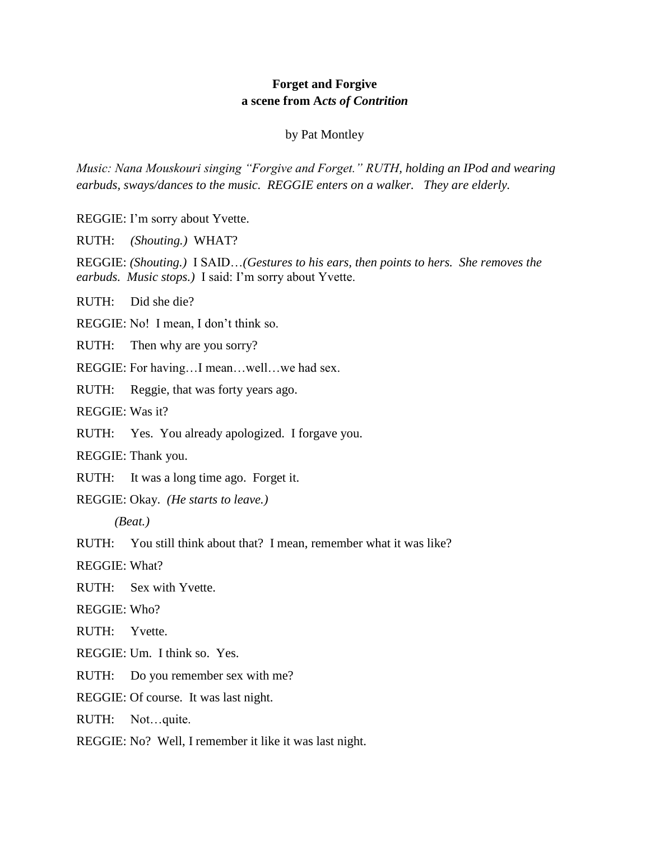## **Forget and Forgive a scene from A***cts of Contrition*

## by Pat Montley

*Music: Nana Mouskouri singing "Forgive and Forget." RUTH, holding an IPod and wearing earbuds, sways/dances to the music. REGGIE enters on a walker. They are elderly.*

REGGIE: I'm sorry about Yvette.

RUTH: *(Shouting.)* WHAT?

REGGIE: *(Shouting.)* I SAID…*(Gestures to his ears, then points to hers. She removes the earbuds. Music stops.)* I said: I'm sorry about Yvette.

RUTH: Did she die?

REGGIE: No! I mean, I don't think so.

RUTH: Then why are you sorry?

REGGIE: For having…I mean…well…we had sex.

RUTH: Reggie, that was forty years ago.

REGGIE: Was it?

RUTH: Yes. You already apologized. I forgave you.

REGGIE: Thank you.

RUTH: It was a long time ago. Forget it.

REGGIE: Okay. *(He starts to leave.)*

*(Beat.)*

RUTH: You still think about that? I mean, remember what it was like?

REGGIE: What?

RUTH: Sex with Yvette.

REGGIE: Who?

RUTH: Yvette.

REGGIE: Um. I think so. Yes.

RUTH: Do you remember sex with me?

REGGIE: Of course. It was last night.

RUTH: Not…quite.

REGGIE: No? Well, I remember it like it was last night.